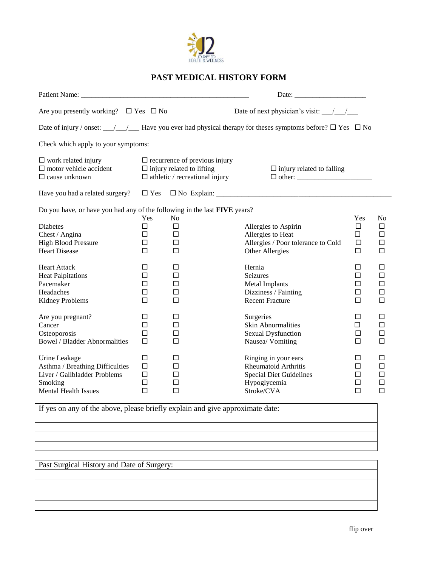

## **PAST MEDICAL HISTORY FORM**

| Are you presently working? $\Box$ Yes $\Box$ No                                                                                                                                                                                                                                                                                                          |                                           |                                  | Date of next physician's visit: $\frac{1}{\sqrt{1-\frac{1}{2}}}$                                                              |                                           |                                                   |  |
|----------------------------------------------------------------------------------------------------------------------------------------------------------------------------------------------------------------------------------------------------------------------------------------------------------------------------------------------------------|-------------------------------------------|----------------------------------|-------------------------------------------------------------------------------------------------------------------------------|-------------------------------------------|---------------------------------------------------|--|
|                                                                                                                                                                                                                                                                                                                                                          |                                           |                                  | Date of injury / onset: $\_\_\_\_\_\_\_\$ Have you ever had physical therapy for theses symptoms before? $\Box$ Yes $\Box$ No |                                           |                                                   |  |
|                                                                                                                                                                                                                                                                                                                                                          |                                           |                                  |                                                                                                                               |                                           |                                                   |  |
| Check which apply to your symptoms:<br>$\Box$ work related injury<br>$\Box$ recurrence of previous injury<br>$\Box$ motor vehicle accident<br>$\Box$ injury related to lifting<br>$\Box$ athletic / recreational injury<br>$\Box$ cause unknown<br>Do you have, or have you had any of the following in the last FIVE years?<br>Yes<br>No<br>□<br>$\Box$ |                                           | $\Box$ injury related to falling |                                                                                                                               |                                           |                                                   |  |
|                                                                                                                                                                                                                                                                                                                                                          |                                           |                                  |                                                                                                                               |                                           |                                                   |  |
| <b>Diabetes</b><br>Chest / Angina<br><b>High Blood Pressure</b><br><b>Heart Disease</b>                                                                                                                                                                                                                                                                  | $\Box$<br>□<br>$\Box$                     | $\Box$<br>□<br>П                 | Allergies to Aspirin<br>Allergies to Heat<br>Allergies / Poor tolerance to Cold<br>Other Allergies                            | Yes<br>□<br>$\Box$<br>$\Box$<br>$\Box$    | N <sub>0</sub><br>□<br>$\Box$<br>$\Box$<br>$\Box$ |  |
| <b>Heart Attack</b><br><b>Heat Palpitations</b><br>Pacemaker<br>Headaches<br><b>Kidney Problems</b>                                                                                                                                                                                                                                                      | □<br>$\Box$<br>$\Box$<br>□<br>П           | □<br>□<br>$\Box$<br>□<br>П       | Hernia<br>Seizures<br>Metal Implants<br>Dizziness / Fainting<br><b>Recent Fracture</b>                                        | □<br>$\Box$<br>$\Box$<br>$\Box$<br>$\Box$ | □<br>$\Box$<br>$\Box$<br>$\Box$<br>$\Box$         |  |
| Are you pregnant?<br>Cancer<br>Osteoporosis<br><b>Bowel / Bladder Abnormalities</b>                                                                                                                                                                                                                                                                      | □<br>$\Box$<br>$\Box$<br>$\Box$           | □<br>□<br>□<br>П                 | Surgeries<br><b>Skin Abnormalities</b><br>Sexual Dysfunction<br>Nausea/ Vomiting                                              | □<br>$\Box$<br>$\Box$<br>$\Box$           | □<br>$\Box$<br>$\Box$<br>$\Box$                   |  |
| Urine Leakage<br>Asthma / Breathing Difficulties<br>Liver / Gallbladder Problems<br>Smoking<br><b>Mental Health Issues</b>                                                                                                                                                                                                                               | □<br>$\Box$<br>$\Box$<br>$\Box$<br>$\Box$ | □<br>□<br>□<br>□<br>$\Box$       | Ringing in your ears<br><b>Rheumatoid Arthritis</b><br><b>Special Diet Guidelines</b><br>Hypoglycemia<br>Stroke/CVA           | □<br>□<br>□<br>$\Box$<br>$\Box$           | □<br>$\Box$<br>$\Box$<br>□<br>$\Box$              |  |

If yes on any of the above, please briefly explain and give approximate date:

Past Surgical History and Date of Surgery: